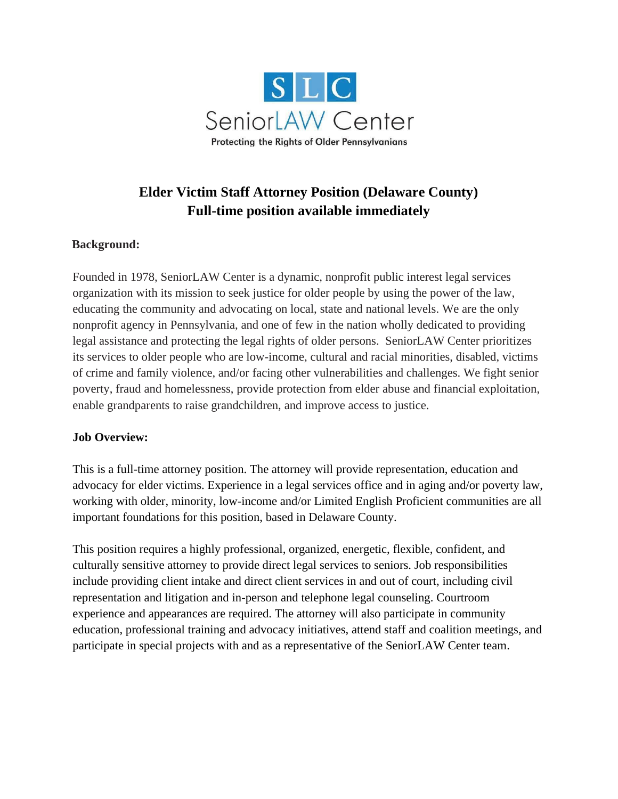

# **Elder Victim Staff Attorney Position (Delaware County) Full-time position available immediately**

### **Background:**

Founded in 1978, SeniorLAW Center is a dynamic, nonprofit public interest legal services organization with its mission to seek justice for older people by using the power of the law, educating the community and advocating on local, state and national levels. We are the only nonprofit agency in Pennsylvania, and one of few in the nation wholly dedicated to providing legal assistance and protecting the legal rights of older persons. SeniorLAW Center prioritizes its services to older people who are low-income, cultural and racial minorities, disabled, victims of crime and family violence, and/or facing other vulnerabilities and challenges. We fight senior poverty, fraud and homelessness, provide protection from elder abuse and financial exploitation, enable grandparents to raise grandchildren, and improve access to justice.

#### **Job Overview:**

This is a full-time attorney position. The attorney will provide representation, education and advocacy for elder victims. Experience in a legal services office and in aging and/or poverty law, working with older, minority, low-income and/or Limited English Proficient communities are all important foundations for this position, based in Delaware County.

This position requires a highly professional, organized, energetic, flexible, confident, and culturally sensitive attorney to provide direct legal services to seniors. Job responsibilities include providing client intake and direct client services in and out of court, including civil representation and litigation and in-person and telephone legal counseling. Courtroom experience and appearances are required. The attorney will also participate in community education, professional training and advocacy initiatives, attend staff and coalition meetings, and participate in special projects with and as a representative of the SeniorLAW Center team.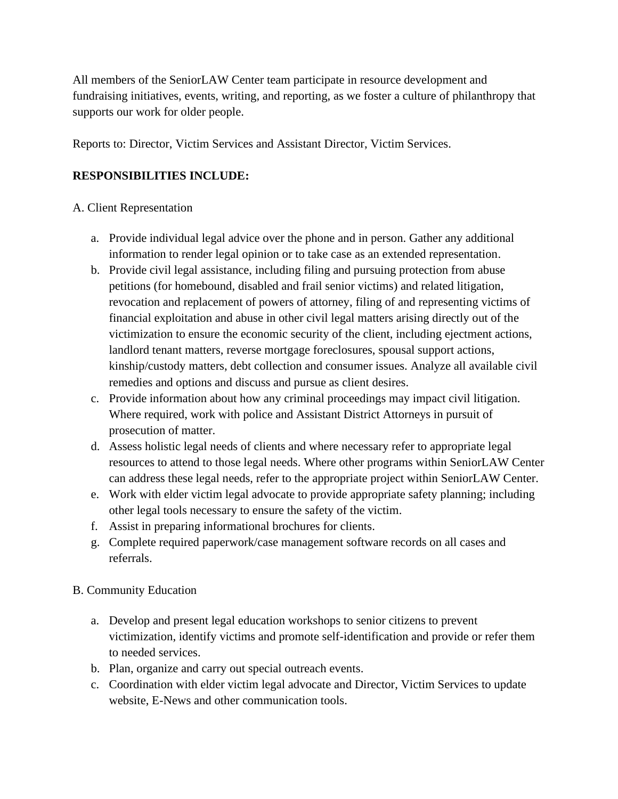All members of the SeniorLAW Center team participate in resource development and fundraising initiatives, events, writing, and reporting, as we foster a culture of philanthropy that supports our work for older people.

Reports to: Director, Victim Services and Assistant Director, Victim Services.

# **RESPONSIBILITIES INCLUDE:**

### A. Client Representation

- a. Provide individual legal advice over the phone and in person. Gather any additional information to render legal opinion or to take case as an extended representation.
- b. Provide civil legal assistance, including filing and pursuing protection from abuse petitions (for homebound, disabled and frail senior victims) and related litigation, revocation and replacement of powers of attorney, filing of and representing victims of financial exploitation and abuse in other civil legal matters arising directly out of the victimization to ensure the economic security of the client, including ejectment actions, landlord tenant matters, reverse mortgage foreclosures, spousal support actions, kinship/custody matters, debt collection and consumer issues. Analyze all available civil remedies and options and discuss and pursue as client desires.
- c. Provide information about how any criminal proceedings may impact civil litigation. Where required, work with police and Assistant District Attorneys in pursuit of prosecution of matter.
- d. Assess holistic legal needs of clients and where necessary refer to appropriate legal resources to attend to those legal needs. Where other programs within SeniorLAW Center can address these legal needs, refer to the appropriate project within SeniorLAW Center.
- e. Work with elder victim legal advocate to provide appropriate safety planning; including other legal tools necessary to ensure the safety of the victim.
- f. Assist in preparing informational brochures for clients.
- g. Complete required paperwork/case management software records on all cases and referrals.

# B. Community Education

- a. Develop and present legal education workshops to senior citizens to prevent victimization, identify victims and promote self-identification and provide or refer them to needed services.
- b. Plan, organize and carry out special outreach events.
- c. Coordination with elder victim legal advocate and Director, Victim Services to update website, E-News and other communication tools.